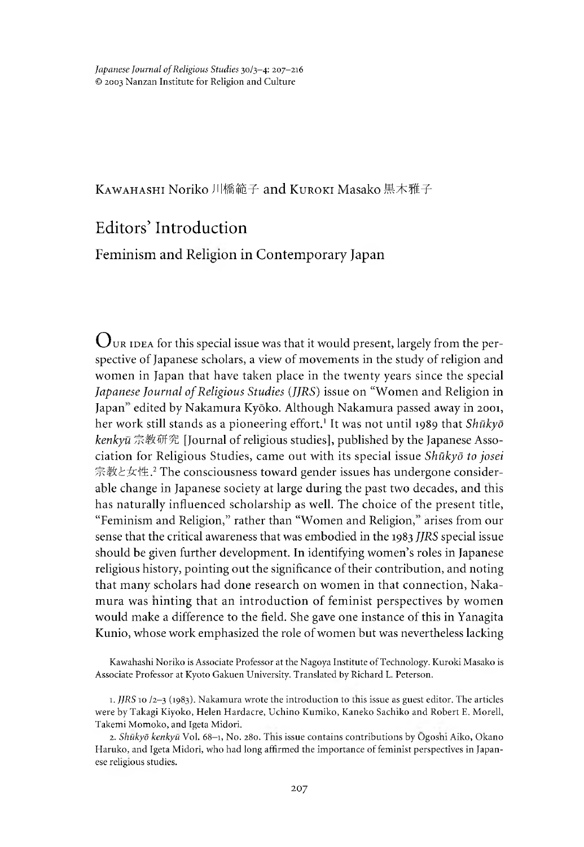*Japanese Journal of Religious Studies* 30/3-4: 207-216 © 2003 Nanzan Institute for Religion and Culture

KAWAHASHI Noriko 川橋範子 and Kuroki Masako 黒木雅子

# Editors' Introduction

# Feminism and Religion in Contemporary Japan

 $\rm O$ UR IDEA for this special issue was that it would present, largely from the perspective of Japanese scholars, a view of movements in the study of religion and women in Japan that have taken place in the twenty years since the special *Japanese Journal of Religious Studies (JJRS)* issue on "Women and Religion in Japan" edited by Nakamura Kyōko. Although Nakamura passed away in 2001, her work still stands as a pioneering effort.<sup>1</sup> It was not until 1989 that *Shūkyō kenkyu* 宗教研究[Journal of religious studies], published by the Japanese Association for Religious Studies, came out with its special issue *Shukyd to josei* 宗教と女性.<sup>2</sup> The consciousness toward gender issues has undergone considerable change in Japanese society at large during the past two decades, and this has naturally influenced scholarship as well. The choice of the present title, "Feminism and Religion," rather than "Women and Religion," arises from our sense that the critical awareness that was embodied in the 1983 *JJRS* special issue should be given further development. In identifying women's roles in Japanese religious history, pointing out the significance of their contribution, and noting that many scholars had done research on women in that connection, Nakamura was hinting that an introduction of feminist perspectives by women would make a difference to the field. She gave one instance of this in Yanagita Kunio, whose work emphasized the role of women but was nevertheless lacking

Kawahashi Noriko is Associate Professor at the Nagoya Institute of Technology. Kuroki Masako is Associate Professor at Kyoto Gakuen University. Translated by Richard L. Peterson.

<sup>1</sup>*. JJRS* 10 /2\_3 (1983). Nakamura wrote the introduction to tms issue as guest editor. The articles were by Takagi Kiyoko, Helen Hardacre, Uchino Kumiko, Kaneko Sachiko and Robert E. Morell, Takemi Momoko, and Igeta Midori.

<sup>2.</sup> *Shūkyō kenkyū* Vol. 68-1, No. 280. This issue contains contributions by Ogoshi Aiko, Okano Haruko, and Igeta Midori, who had long affirmed the importance of feminist perspectives in Japanese religious studies.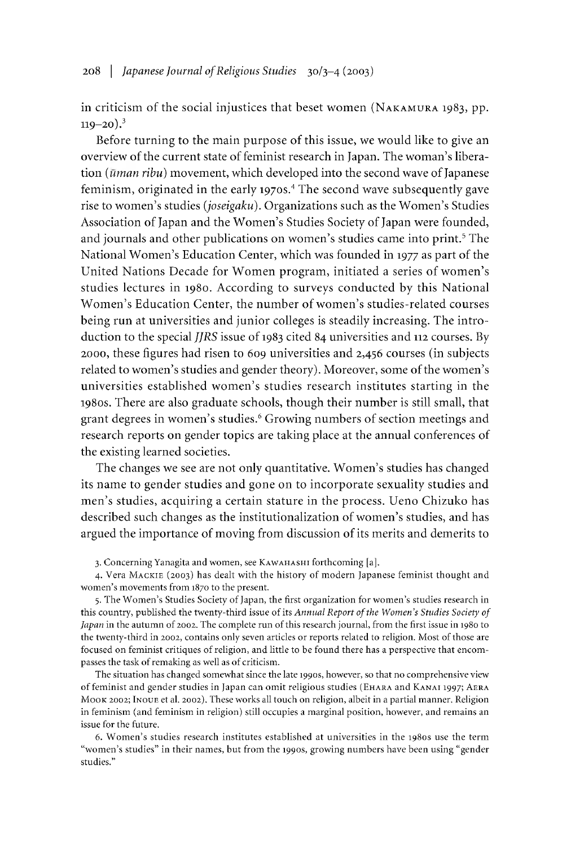in criticism of the social injustices that beset women (NAKAMURA 1983, pp.  $119 - 20$ ).<sup>3</sup>

Before turning to the main purpose of this issue, we would like to give an overview of the current state of feminist research in Japan. The woman's liberation *(uman ribu)* movement, which developed into the second wave of Japanese feminism, originated in the early 1970s.4 The second wave subsequently gave rise to women's studies *(joseigaku).* Organizations such as the Women's Studies Association of Japan and the Women's Studies Society of Japan were founded, and journals and other publications on women's studies came into print.<sup>5</sup> The National Women's Education Center, which was founded in 1977 as part of the United Nations Decade for Women program, initiated a series of women's studies lectures in 1980. According to surveys conducted by this National Women's Education Center, the number of women's studies-related courses being run at universities and junior colleges is steadily increasing. The introduction to the special *JJRS* issue of 1983 cited 84 universities and 112 courses. By 2000, these figures had risen to 609 universities and 2,456 courses (in subjects related to women's studies and gender theory). Moreover, some of the women's universities established women's studies research institutes starting in the 1980s. There are also graduate schools, though their number is still small, that grant degrees in women's studies.<sup>6</sup> Growing numbers of section meetings and research reports on gender topics are taking place at the annual conferences of the existing learned societies.

The changes we see are not only quantitative. Women's studies has changed its name to gender studies and gone on to incorporate sexuality studies and men's studies, acquiring a certain stature in the process. Ueno Chizuko has described such changes as the institutionalization of women's studies, and has argued the importance of moving from discussion of its merits and demerits to

3. Concerning Yanagita and women, see Kawahashi forthcoming [a].

4. Vera MACKIE (2003) has dealt with the history of modern Japanese feminist thought and women's movements from 1870 to the present.

5. The Women's Studies Society of Japan, the first organization for women's studies research in this country, published the twenty-third issue of its *Annual Report of the Women's Studies Society of Japan* in the autumn of 2002. The complete run of this research journal, from the first issue in 1980 to the twenty-third in 2002, contains only seven articles or reports related to religion. Most of those are focused on feminist critiques of religion, and little to be found there has a perspective that encompasses the task of remaking as well as of criticism.

The situation has changed somewhat since the late 1990s, however, so that no comprehensive view of feminist and gender studies in Japan can omit religious studies (Ehara and Kanai 1997; Aera MOOK 2002; INOUE et al. 2002). These works all touch on religion, albeit in a partial manner. Religion in feminism (and feminism in religion) still occupies a marginal position, however, and remains an issue for the future.

6. Women's studies research institutes established at universities in the 1980s use the term "women's studies" in their names, but from the 1990s, growing numbers have been using "gender studies."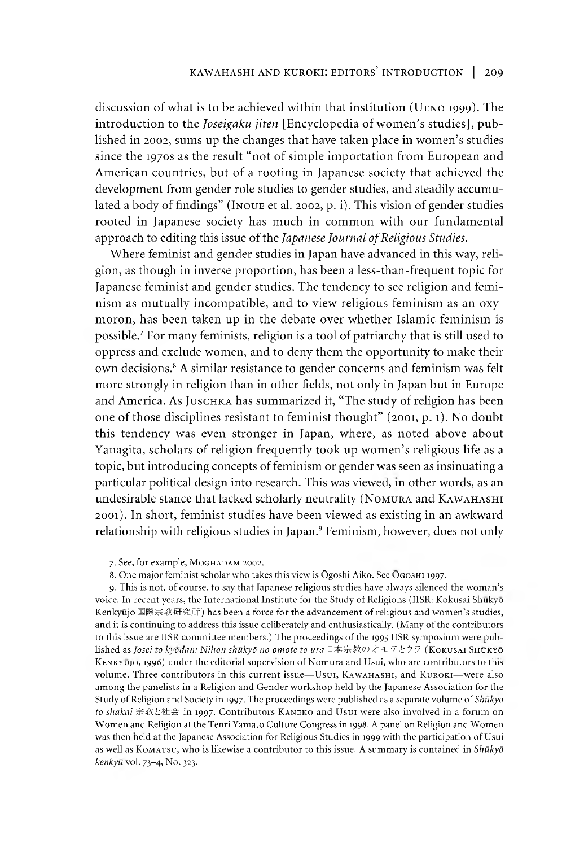discussion of what is to be achieved within that institution (Ueno 1999). The introduction to the *Joseigaku jiten* [Encyclopedia of women's studies], published in 2002, sums up the changes that have taken place in women's studies since the 1970s as the result "not of simple importation from European and American countries, but of a rooting in Japanese society that achieved the development from gender role studies to gender studies, and steadily accumulated a body of findings" (INOUE et al. 2002, p. i). This vision of gender studies rooted in Japanese society has much in common with our fundamental approach to editing this issue of the *Japanese Journal of Religious Studies.*

Where feminist and gender studies in Japan have advanced in this way, religion, as though in inverse proportion, has been a less-than-frequent topic for Japanese feminist and gender studies. The tendency to see religion and feminism as mutually incompatible, and to view religious feminism as an oxymoron, has been taken up in the debate over whether Islamic feminism is possible/ For many feminists, religion is a tool of patriarchy that is still used to oppress and exclude women, and to deny them the opportunity to make their own decisions.8 A similar resistance to gender concerns and feminism was felt more strongly in religion than in other fields, not only in Japan but in Europe and America. As JUSCHKA has summarized it, "The study of religion has been one of those disciplines resistant to feminist thought"  $(2001, p. 1)$ . No doubt this tendency was even stronger in Japan, where, as noted above about Yanagita, scholars of religion frequently took up women's religious life as a topic, but introducing concepts of feminism or gender was seen as insinuating a particular political design into research. This was viewed, in other words, as an undesirable stance that lacked scholarly neutrality (Nomura and Kawahashi 2001). In short, feminist studies have been viewed as existing in an awkward relationship with religious studies in Japan.<sup>9</sup> Feminism, however, does not only

7. See, for example, MOGHADAM 2002.

8. One major feminist scholar who takes this view is Ōgoshi Aiko. See OGOSHI 1997.

9. This is not, of course, to say that Japanese religious studies have always silenced the woman's voice. In recent years, the International Institute for the Study of Religions (IISR: Kokusai Shūkyō Kenkyujo 国際宗教研究所)has been a force for the advancement of religious and women's studies, and it is continuing to address this issue deliberately and enthusiastically. (Many of the contributors to this issue are IISR committee members.) The proceedings of the 1995 IISR symposium were published as *Josei to kyōdan: Nihon shūkyō no omote to ura* 日本宗教のオモテとウラ (Kokusai Shūkyō KENKYUJO, 1996) under the editorial supervision of Nomura and Usui, who are contributors to this volume. Three contributors in this current issue—Usui, KAWAHASHI, and KUROKI—were also among the panelists in a Religion and Gender workshop held by the Japanese Association for the Study of Religion and Society in 1997. The proceedings were published as a separate volume of *Shukyd to shakai* 宗教と社会 in 1997. Contributors Kaneko and Usui were also involved in a forum on Women and Religion at the Tenri Yamato Culture Congress in 1998. A panel on Religion and Women was then neld at the Japanese Association for Religious Studies in 1999 with the participation of Usui as well as Komatsu, who is likewise a contributor to this issue. A summary is contained in *Shukyd kenkyu* vol. 73-4, No. 323.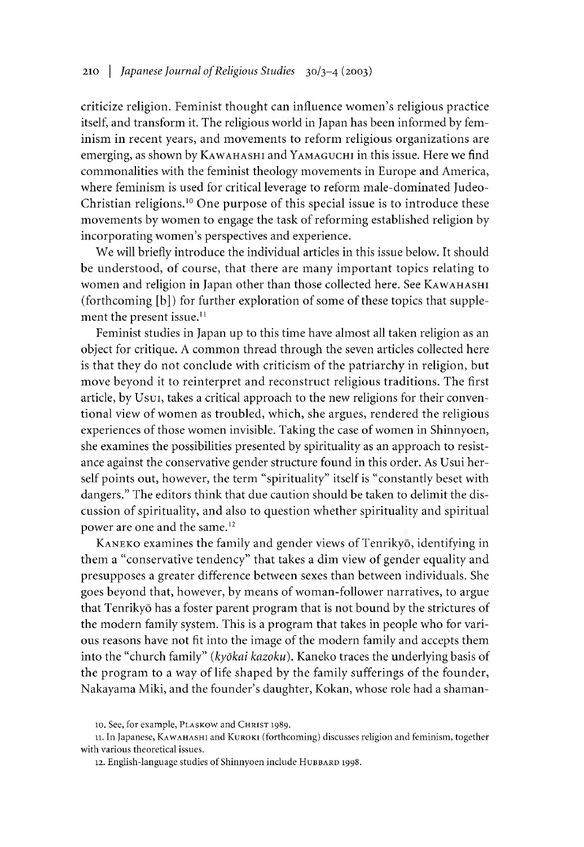criticize religion. Feminist thought can influence women's religious practice itself, and transform it. The religious world in Japan has been informed by feminism in recent years, and movements to reform religious organizations are emerging, as shown by Kawahashi and Yamaguchi in this issue. Here we find commonalities with the feminist theology movements in Europe and America, where feminism is used for critical leverage to reform male-dominated Judeo-Christian religions.10 One purpose of this special issue is to introduce these movements by women to engage the task of reforming established religion by incorporating women's perspectives and experience.

We will briefly introduce the individual articles in this issue below. It should be understood, of course, that there are many important topics relating to women and religion in Japan other than those collected here. See KAWAHASHI (forthcoming [b]) for further exploration of some of these topics that supplement the present issue.<sup>11</sup>

Feminist studies in Japan up to this time have almost all taken religion as an object for critique. A common thread through the seven articles collected here is that they do not conclude with criticism of the patriarchy in religion, but move beyond it to reinterpret and reconstruct religious traditions. The first article, by Usui, takes a critical approach to the new religions for their conventional view of women as troubled, which, she argues, rendered the religious experiences of those women invisible. Taking the case of women in Shinnyoen, she examines the possibilities presented by spirituality as an approach to resistance against the conservative gender structure found in this order. As Usui herself points out, however, the term "spirituality" itself is "constantly beset with dangers." The editors think that due caution should be taken to delimit the discussion of spirituality, and also to question whether spirituality and spiritual power are one and the same.12

KANEKO examines the family and gender views of Tenrikyō, identifying in them a "conservative tendency" that takes a dim view of gender equality and presupposes a greater difference between sexes than between individuals. She goes beyond that, however, by means of woman-follower narratives, to argue that Tenrikyo has a foster parent program that is not bound by the strictures of the modern family system. This is a program that takes in people who for various reasons have not fit into the image of the modern family and accepts them into the "church family" (kyōkai kazoku). Kaneko traces the underlying basis of the program to a way of life shaped by the family sufferings of the founder, Nakayama Miki, and the founder's daughter, Kokan, whose role had a shaman-

<sup>10.</sup> See, for example, Plaskow and Christ 1989.

<sup>11.</sup>In Japanese, Kawahashi and Kuroki (forthcoming) discusses religion and feminism, together with various theoretical issues.

<sup>12.</sup> English-language studies of Shinnyoen include HUBBARD 1998.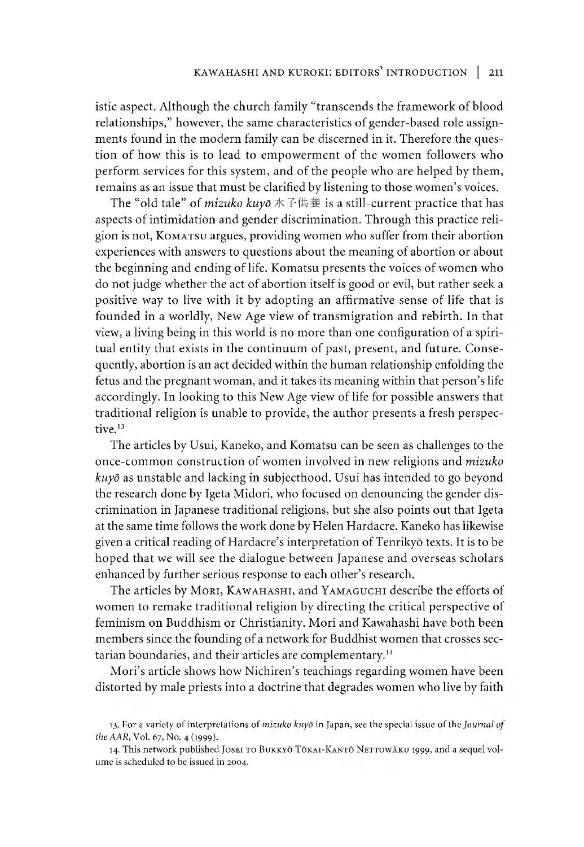istic aspect. Although the church family "transcends the framework of blood relationships," however, the same characteristics of gender-based role assignments found in the modern family can be discerned in it. Therefore the question of how this is to lead to empowerment of the women followers who perform services for this system, and of the people who are helped by them, remains as an issue that must be clarified by listening to those women's voices.

The "old tale" of *mizuko kuyd* 水子供養 is a still-current practice that has aspects of intimidation and gender discrimination. Through this practice religion is not, Komatsu argues, providing women who suffer from their abortion experiences with answers to questions about the meaning of abortion or about the beginning and ending of life. Komatsu presents the voices of women who do not judge whether the act of abortion itself is good or evil, but rather seek a positive way to live with it by adopting an affirmative sense of life that is founded in a worldly, New Age view of transmigration and rebirth. In that view, a living being in this world is no more than one configuration of a spiritual entity that exists in the continuum of past, present, and future. Consequently, abortion is an act decided within the human relationship enfolding the fetus and the pregnant woman, and it takes its meaning within that person's life accordingly. In looking to this New Age view of life for possible answers that traditional religion is unable to provide, the author presents a fresh perspective.<sup>13</sup>

The articles by Usui, Kaneko, and Komatsu can be seen as challenges to the once-common construction of women involved in new religions and *mizuko kuyd* as unstable and lacking in subjecthood. Usui has intended to go beyond the research done by Igeta Midori, who focused on denouncing the gender discrimination in Japanese traditional religions, but she also points out that Igeta at the same time follows the work done by Helen Hardacre. Kaneko has likewise given a critical reading of Hardacre's interpretation of Tenrikyo texts. It is to be hoped that we will see the dialogue between Japanese and overseas scholars enhanced by further serious response to each other's research.

The articles by MORI, KAWAHASHI, and YAMAGUCHI describe the efforts of women to remake traditional religion by directing the critical perspective of feminism on Buddhism or Christianity. Mori and Kawahashi have both been members since the founding of a network for Buddnist women that crosses sectarian boundaries, and their articles are complementary.14

Mori's article shows how Nichiren's teachings regarding women have been distorted by male priests into a doctrine that degrades women who live by raith

<sup>13.</sup> For a variety of interpretations of *mizuko kuyd* in Japan, see the special issue of the *Journal of the AAR*, Vol. 67, No. 4 (1999).

<sup>14.</sup> This network published JOSEI TO BUKKYO TOKAI-KANTO NETTOWAKU 1999, and a sequel volume is scheduled to be issued in 2004.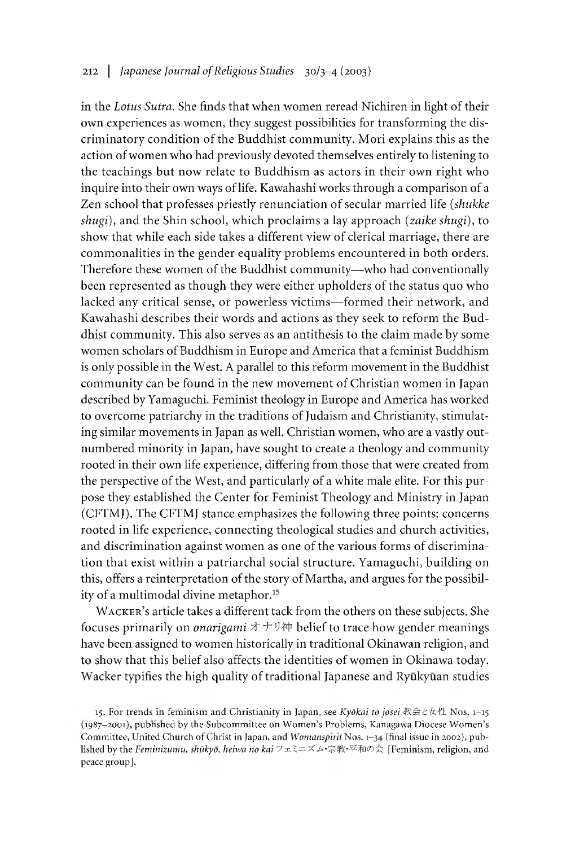in the *Lotus Sutra.* She finds that when women reread Nichiren in light of their own experiences as women, they suggest possibilities for transforming the discriminatory condition of the Buddhist community. Mori explains this as the action of women who had previously devoted themselves entirely to listening to the teachings but now relate to Buddhism as actors in their own right who inquire into their own ways of life. Kawahashi works through a comparison of a Zen school that professes priestly renunciation of secular married life *(shukke shugi),* and the Shin school, which proclaims a lay approach *(zaike shugi),* to show that while each side takes a different view of clerical marriage, there are commonalities in the gender equality problems encountered in both orders. Therefore these women of the Buddhist community—who had conventionally been represented as though they were either upholders of the status quo who lacked any critical sense, or powerless victims—formed their network, and Kawahashi describes their words and actions as they seek to reform the Buddhist community. This also serves as an antithesis to the claim made by some women scholars of Buddhism in Europe and America that a feminist Buddhism is only possible in the West. A parallel to this reform movement in the Buddhist community can be found in the new movement of Christian women in Japan described by Yamaguchi. Feminist theology in Europe and America has worked to overcome patriarchy in the traditions of Judaism and Christianity, stimulating similar movements in Japan as well. Christian women, who are a vastly outnumbered minority in Japan, have sought to create a theology and community rooted in their own life experience, differing from those that were created from the perspective of the West, and particularly of a white male elite. For this purpose they established the Center for Feminist Theology and Ministry in Japan (CFTMJ). The CFTMJ stance emphasizes the following three points: concerns rooted in life experience, connecting theological studies and church activities, and discrimination against women as one of the various forms of discrimination that exist within a patriarchal social structure. Yamaguchi, building on this, offers a reinterpretation of the story of Martha, and argues for the possibility of a multimodal divine metaphor.15

WACKER's article takes a different tack from the others on these subjects. She focuses primarily on *onarigami* オナリ神 belief to trace how gender meanings have been assigned to women historically in traditional Okinawan religion, and to show that this belief also affects the identities of women in Okinawa today. Wacker typifies the high quality of traditional Japanese and Ryūkyūan studies

<sup>15.</sup> For trends in feminism and Christianity in Japan, see *Kyōkai to josei* 教会と女性 Nos. 1-15 (1987-2001), published by the Subcommittee on Women's Problems, Kanagawa Diocese Women's Committee, United Church of Christ in Japan, and *Womanspirit* Nos. 1-34 (final issue in 2002), published by the *Feminizumu, shukyd, heiwa no kai* フヱミニズム•宗教•平和の会[Feminism, religion, and peace group].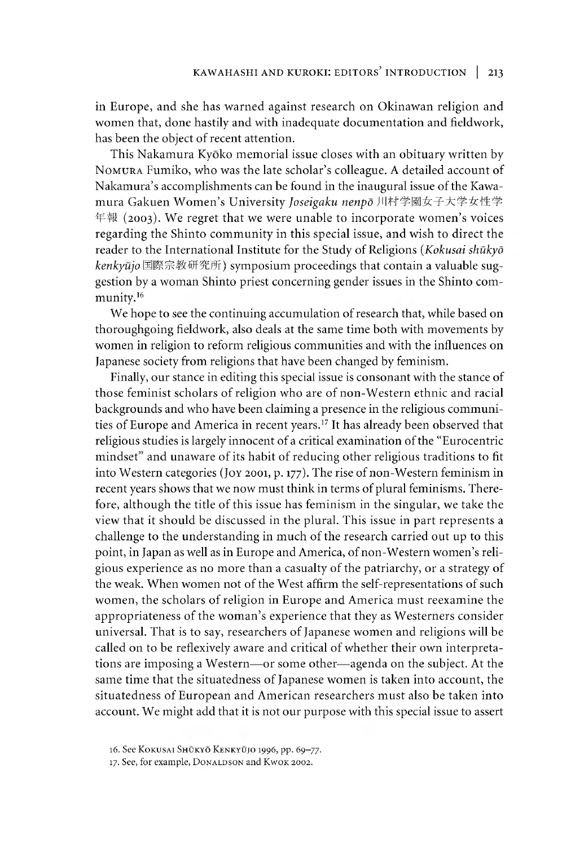in Europe, and she has warned against research on Okinawan religion and women that, done hastily and with inadequate documentation and fieldwork, has been the object of recent attention.

This Nakamura Kyoko memorial issue closes with an obituary written by Nomura Fumiko, who was the late scholar's colleague. A detailed account of Nakamura's accomplishments can be found in the inaugural issue of the Kawamura Gakuen Women's University *Joseigaku nenpo* 川村学園女子大学女性学 年報 (2003). We regret that we were unable to incorporate women's voices regarding the Shinto community in this special issue, and wish to direct the reader to the International Institute for the Study of Religions (Kokusai shūkyō kenkyujo 国際宗教研究所) symposium proceedings that contain a valuable suggestion by a woman Shinto priest concerning gender issues in the Shinto community.16

We hope to see the continuing accumulation of research that, while based on thoroughgoing fieldwork, also deals at the same time both with movements by women in religion to reform religious communities and with the influences on Japanese society from religions that have been changed by feminism.

Finally, our stance in editing this special issue is consonant with the stance of those feminist scholars of religion who are of non-Western ethnic and racial backgrounds and who have been claiming a presence in the religious communities of Europe and America in recent years.17 It has already been observed that religious studies is largely innocent of a critical examination of the "Eurocentric mindset" and unaware of its habit of reducing other religious traditions to fit into Western categories (Joy 2001, p. 177). The rise of non-Western feminism in recent years shows that we now must think in terms of plural feminisms. Therefore, although the title of this issue has feminism in the singular, we take the view that it should be discussed in the plural. This issue in part represents a challenge to the understanding in much of the research carried out up to this point, in Japan as well as in Europe and America, of non-Western women's religious experience as no more than a casualty of the patriarchy, or a strategy of the weak. When women not of the West affirm the self-representations of such women, the scholars of religion in Europe and America must reexamine the appropriateness of the woman's experience that they as Westerners consider universal. That is to say, researchers of Japanese women and religions will be called on to be reflexively aware and critical of whether their own interpretations are imposing a Western—or some other—agenda on the subject. At the same time that the situatedness of Japanese women is taken into account, the situatedness of European and American researchers must also be taken into account. We might add that it is not our purpose with this special issue to assert

17. See, for example, DONALDSON and Kwok 2002.

<sup>16.</sup> See KOKUSAI SHŪKYŌ KENKYŪJO 1996, pp. 69-77.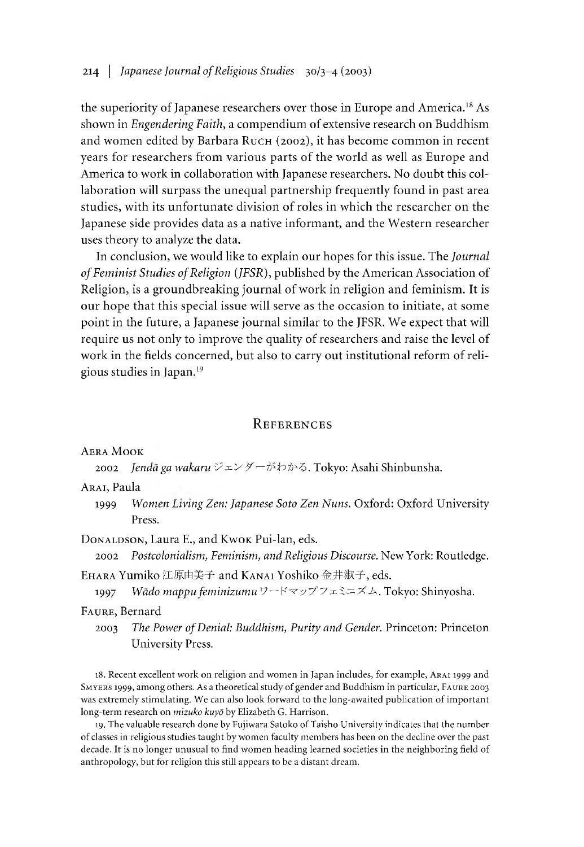the superiority of Japanese researchers over those in Europe and America.<sup>18</sup> As shown in *Engendering Fattn,* a compendium of extensive research on Buddhism and women edited by Barbara RUCH (2002), it has become common in recent years for researchers from various parts of the world as well as Europe and America to work in collaboration with Japanese researchers. No doubt this collaboration will surpass the unequal partnership frequently found in past area studies, with its unfortunate division of roles in which the researcher on the Japanese side provides data as a native informant, and the Western researcher uses theory to analyze the data.

In conclusion, we would like to explain our hopes for this issue. The *Journal of Feminist Studies of Religion (JFSR),* published by the American Association of Religion, is a groundbreaking journal of work in religion and feminism. It is our hope that this special issue will serve as the occasion to initiate, at some point in the future, a Japanese journal similar to the JFSR. We expect that will require us not only to improve the quality of researchers and raise the level of work in the fields concerned, but also to carry out institutional reform of religious studies in Japan.19

#### R E F E R E N C E S

#### AERA MOOK

2002 *Jendaga wakaru* ジェンダーがわかる.Tokyo: Asahi Shinbunsha.

## Arai, Paula

1999 *Women Living Zen: Japanese Soto Zen Nuns.* Oxford: Oxford University Press.

#### DONALDSON, Laura E., and Kwok Pui-lan, eds.

2002 *Postcolonialism, Feminism, and Religious Discourse.* New York: Routledge.

Ehara Yumiko 江原由美子 and Kanai Yoshiko 金井淑子,eds.

1997 *Wado mappu feminizumu* ワードマップフェミニズム. Tokyo: Shinyosha.

#### Faure, Bernard

2003 *The Power of Denial: Buddhism, Purity and Gender.* Princeton: Princeton University Press.

18. Recent excellent work on religion and women in Japan includes, for example, Arai 1999 and SMYERS 1999, among others. As a theoretical study of gender and Buddhism in particular, FAURE 2003 was extremely stimulating. We can also look forward to the long-awaited publication of important long-term research on *mizuko kuyd* by Elizabeth G. Harrison.

19. The valuable research done by Fujiwara Satoko of Taisho University indicates that the number of classes in religious studies taught by women faculty members has been on the decline over the past decade. It is no longer unusual to find women heading learned societies in the neighboring field of anthropology, but for religion this still appears to be a distant dream.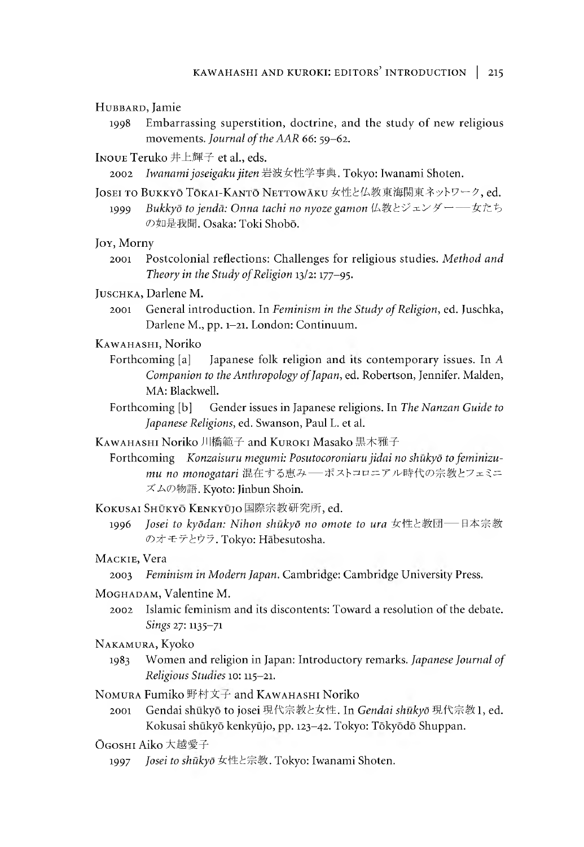HUBBARD, Jamie

1998 Embarrassing superstition, doctrine, and the study of new religious movements. *Journal of the AAR* 66: 59-62.

Inoue Teruko 井上輝子 et al., eds.

2002 *Iwanami joseigaku jiten* 岩波女性学事典.Tokyo: Iwanami Shoten.

JOSEI TO BUKKYŌ TŌKAI-KANTŌ NETTOWĀKU女性と仏教東海関東ネットワーク, ed. 1999 Bukkyō to jendā: Onna tachi no nyoze gamon 仏教とジェンダー––女たち の如是我聞.Osaka: Toki Shobo.

Joy, Morny

2001 Postcolonial reflections: Challenges for religious studies. *Method and Theory in the Stuay of Religion* 13/2:177-95.

Juschka, Darlene M.

2001 General introduction. In *Feminism in the Study of Religion,* ed. Juschka, Darlene M., pp. 1-21. London: Continuum.

Kawahashi, Noriko

- Forthcoming [a] Japanese folk religion and its contemporary issues. In A *Companion to the Anthropology of Japan,* ed. Robertson, Jennifer. Malden, MA: Blackwell.
- Forthcoming [b] Gender issues in Japanese religions. In *The Nanzan Guide to Japanese Religions,* ed. Swanson, Paul L. et al.
- Kawahashi Noriko 川撟範子 and Kuroki Masako 黒木雅子
	- Forthcoming *Konzaisuru megumi: Posutocoroniaru jidai no shukyd to feminizu* $mu$  no monogatari 混在する恵み ─ポストコロニアル時代の宗教とフェミニ ズムの物語.Kyoto: Jinbun Shoin.
- KOKUSAI SHŪKYŌ KENKYŪJO 国際宗教研究所, ed.
	- 1996 *Josei to kyōdan: Nihon shūkyō no omote to ura* 女性と教団––日本宗教 のオモテとウラ. Tokyo: Habesutosha.

#### Mackie, Vera

- 2003 *Feminism in Modern Japan.* Cambridge: Cambridge University Press.
- M оснарам, Valentine M.
	- 2002 Islamic feminism and its discontents: Toward a resolution of the debate. *Sings* 27:1135-71
- Nakamura, Kyoko
	- 1983 Women and religion in Japan: Introductory remarks. *Japanese Journal of Religious Studies* 10:115-21.
- Nomura Fumiko 野村文于 and Kawahashi Noriko
	- 2001 Gendai shukyo to josei 現代宗教と女性. In *Gendai shukyd* 現代宗教1,ed. Kokusai shūkyō kenkyūjo, pp. 123-42. Tokyo: Tōkyōdō Shuppan.

#### Ogoshi Aiko 大\_愛子

1997 *Josei to shukyd* 女性と宗教.Tokyo: Iwanami Shoten.